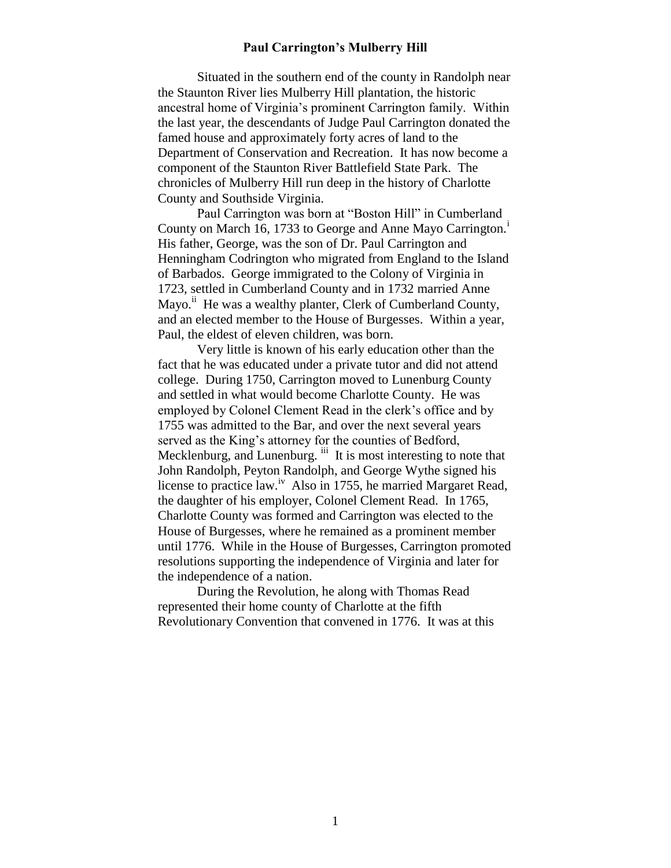## **Paul Carrington's Mulberry Hill**

Situated in the southern end of the county in Randolph near the Staunton River lies Mulberry Hill plantation, the historic ancestral home of Virginia's prominent Carrington family. Within the last year, the descendants of Judge Paul Carrington donated the famed house and approximately forty acres of land to the Department of Conservation and Recreation. It has now become a component of the Staunton River Battlefield State Park. The chronicles of Mulberry Hill run deep in the history of Charlotte County and Southside Virginia.

Paul Carrington was born at "Boston Hill" in Cumberland County on March 16, 1733 to George and Anne Mayo Carrington.<sup>i</sup> His father, George, was the son of Dr. Paul Carrington and Henningham Codrington who migrated from England to the Island of Barbados. George immigrated to the Colony of Virginia in 1723, settled in Cumberland County and in 1732 married Anne Mayo.<sup>ii</sup> He was a wealthy planter, Clerk of Cumberland County, and an elected member to the House of Burgesses. Within a year, Paul, the eldest of eleven children, was born.

Very little is known of his early education other than the fact that he was educated under a private tutor and did not attend college. During 1750, Carrington moved to Lunenburg County and settled in what would become Charlotte County. He was employed by Colonel Clement Read in the clerk's office and by 1755 was admitted to the Bar, and over the next several years served as the King's attorney for the counties of Bedford, Mecklenburg, and Lunenburg. iii It is most interesting to note that John Randolph, Peyton Randolph, and George Wythe signed his license to practice law.<sup>iv</sup> Also in 1755, he married Margaret Read, the daughter of his employer, Colonel Clement Read. In 1765, Charlotte County was formed and Carrington was elected to the House of Burgesses, where he remained as a prominent member until 1776. While in the House of Burgesses, Carrington promoted resolutions supporting the independence of Virginia and later for the independence of a nation.

During the Revolution, he along with Thomas Read represented their home county of Charlotte at the fifth Revolutionary Convention that convened in 1776. It was at this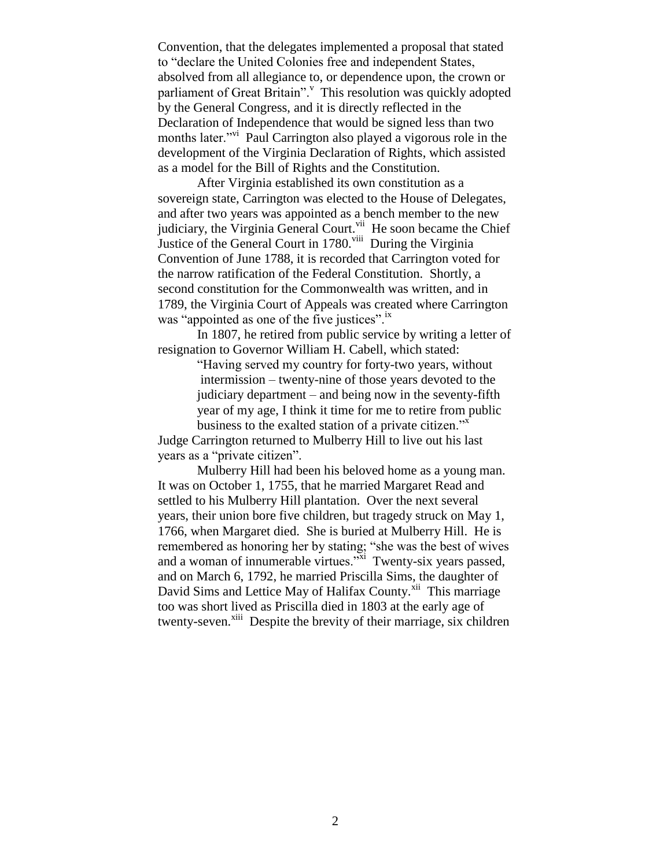Convention, that the delegates implemented a proposal that stated to "declare the United Colonies free and independent States, absolved from all allegiance to, or dependence upon, the crown or parliament of Great Britain". This resolution was quickly adopted by the General Congress, and it is directly reflected in the Declaration of Independence that would be signed less than two months later."<sup>vi</sup> Paul Carrington also played a vigorous role in the development of the Virginia Declaration of Rights, which assisted as a model for the Bill of Rights and the Constitution.

After Virginia established its own constitution as a sovereign state, Carrington was elected to the House of Delegates, and after two years was appointed as a bench member to the new judiciary, the Virginia General Court.<sup>vii</sup> He soon became the Chief Justice of the General Court in 1780. Viii During the Virginia Convention of June 1788, it is recorded that Carrington voted for the narrow ratification of the Federal Constitution. Shortly, a second constitution for the Commonwealth was written, and in 1789, the Virginia Court of Appeals was created where Carrington was "appointed as one of the five justices".<sup>ix</sup>

In 1807, he retired from public service by writing a letter of resignation to Governor William H. Cabell, which stated:

> "Having served my country for forty-two years, without intermission – twenty-nine of those years devoted to the judiciary department – and being now in the seventy-fifth year of my age, I think it time for me to retire from public business to the exalted station of a private citizen."<sup>x</sup>

Judge Carrington returned to Mulberry Hill to live out his last years as a "private citizen".

Mulberry Hill had been his beloved home as a young man. It was on October 1, 1755, that he married Margaret Read and settled to his Mulberry Hill plantation. Over the next several years, their union bore five children, but tragedy struck on May 1, 1766, when Margaret died. She is buried at Mulberry Hill. He is remembered as honoring her by stating; "she was the best of wives and a woman of innumerable virtues."<sup>xi</sup> Twenty-six years passed, and on March 6, 1792, he married Priscilla Sims, the daughter of David Sims and Lettice May of Halifax County.<sup>xii</sup> This marriage too was short lived as Priscilla died in 1803 at the early age of twenty-seven.<sup>xiii</sup> Despite the brevity of their marriage, six children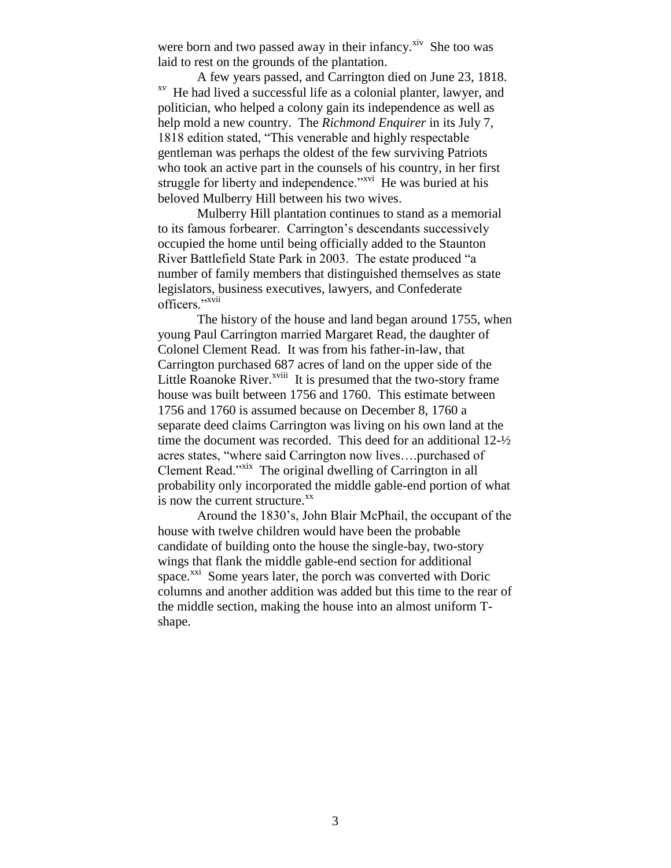were born and two passed away in their infancy. ${}^{xiv}$  She too was laid to rest on the grounds of the plantation.

A few years passed, and Carrington died on June 23, 1818. xv He had lived a successful life as a colonial planter, lawyer, and politician, who helped a colony gain its independence as well as help mold a new country. The *Richmond Enquirer* in its July 7, 1818 edition stated, "This venerable and highly respectable gentleman was perhaps the oldest of the few surviving Patriots who took an active part in the counsels of his country, in her first struggle for liberty and independence."<sup>xvi</sup> He was buried at his beloved Mulberry Hill between his two wives.

Mulberry Hill plantation continues to stand as a memorial to its famous forbearer. Carrington's descendants successively occupied the home until being officially added to the Staunton River Battlefield State Park in 2003. The estate produced "a number of family members that distinguished themselves as state legislators, business executives, lawyers, and Confederate officers."<sup>xvii</sup>

The history of the house and land began around 1755, when young Paul Carrington married Margaret Read, the daughter of Colonel Clement Read. It was from his father-in-law, that Carrington purchased 687 acres of land on the upper side of the Little Roanoke River. $^{xviii}$  It is presumed that the two-story frame house was built between 1756 and 1760. This estimate between 1756 and 1760 is assumed because on December 8, 1760 a separate deed claims Carrington was living on his own land at the time the document was recorded. This deed for an additional 12-½ acres states, "where said Carrington now lives….purchased of Clement Read."<sup>xix</sup> The original dwelling of Carrington in all probability only incorporated the middle gable-end portion of what is now the current structure. $X^X$ 

Around the 1830's, John Blair McPhail, the occupant of the house with twelve children would have been the probable candidate of building onto the house the single-bay, two-story wings that flank the middle gable-end section for additional space.<sup>xxi</sup> Some years later, the porch was converted with Doric columns and another addition was added but this time to the rear of the middle section, making the house into an almost uniform Tshape.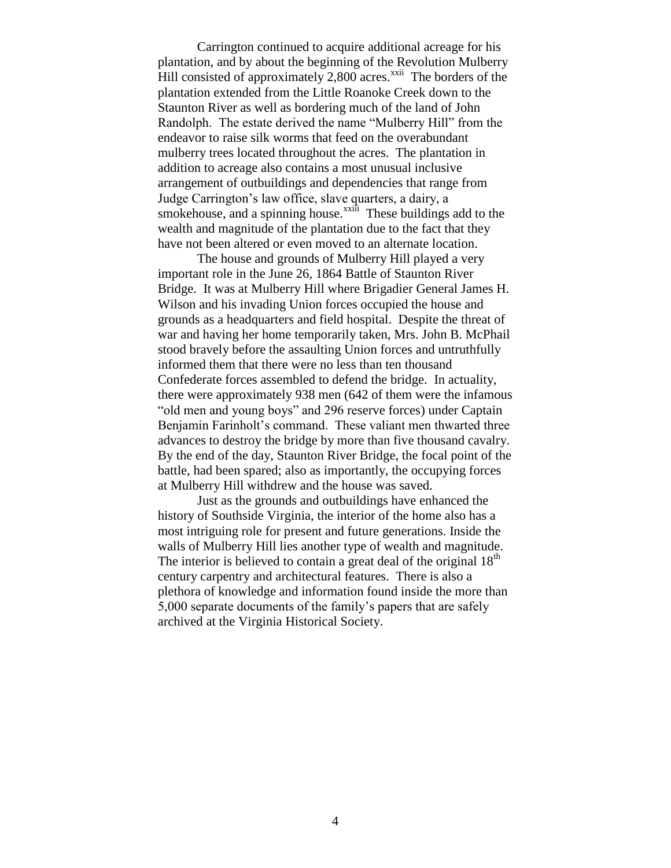Carrington continued to acquire additional acreage for his plantation, and by about the beginning of the Revolution Mulberry Hill consisted of approximately  $2,800$  acres.<sup>xxii</sup> The borders of the plantation extended from the Little Roanoke Creek down to the Staunton River as well as bordering much of the land of John Randolph. The estate derived the name "Mulberry Hill" from the endeavor to raise silk worms that feed on the overabundant mulberry trees located throughout the acres. The plantation in addition to acreage also contains a most unusual inclusive arrangement of outbuildings and dependencies that range from Judge Carrington's law office, slave quarters, a dairy, a smokehouse, and a spinning house. $^{xxi\hat{i}\hat{i}}$  These buildings add to the wealth and magnitude of the plantation due to the fact that they have not been altered or even moved to an alternate location.

The house and grounds of Mulberry Hill played a very important role in the June 26, 1864 Battle of Staunton River Bridge. It was at Mulberry Hill where Brigadier General James H. Wilson and his invading Union forces occupied the house and grounds as a headquarters and field hospital. Despite the threat of war and having her home temporarily taken, Mrs. John B. McPhail stood bravely before the assaulting Union forces and untruthfully informed them that there were no less than ten thousand Confederate forces assembled to defend the bridge. In actuality, there were approximately 938 men (642 of them were the infamous "old men and young boys" and 296 reserve forces) under Captain Benjamin Farinholt's command. These valiant men thwarted three advances to destroy the bridge by more than five thousand cavalry. By the end of the day, Staunton River Bridge, the focal point of the battle, had been spared; also as importantly, the occupying forces at Mulberry Hill withdrew and the house was saved.

Just as the grounds and outbuildings have enhanced the history of Southside Virginia, the interior of the home also has a most intriguing role for present and future generations. Inside the walls of Mulberry Hill lies another type of wealth and magnitude. The interior is believed to contain a great deal of the original  $18<sup>th</sup>$ century carpentry and architectural features. There is also a plethora of knowledge and information found inside the more than 5,000 separate documents of the family's papers that are safely archived at the Virginia Historical Society.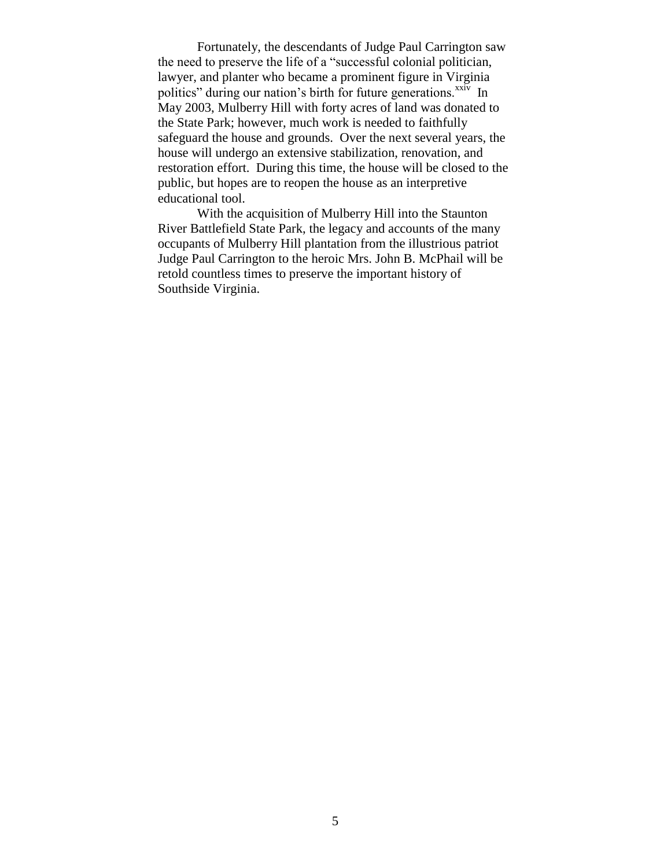Fortunately, the descendants of Judge Paul Carrington saw the need to preserve the life of a "successful colonial politician, lawyer, and planter who became a prominent figure in Virginia politics" during our nation's birth for future generations. $\frac{xxiv}{ }$  In May 2003, Mulberry Hill with forty acres of land was donated to the State Park; however, much work is needed to faithfully safeguard the house and grounds. Over the next several years, the house will undergo an extensive stabilization, renovation, and restoration effort. During this time, the house will be closed to the public, but hopes are to reopen the house as an interpretive educational tool.

With the acquisition of Mulberry Hill into the Staunton River Battlefield State Park, the legacy and accounts of the many occupants of Mulberry Hill plantation from the illustrious patriot Judge Paul Carrington to the heroic Mrs. John B. McPhail will be retold countless times to preserve the important history of Southside Virginia.